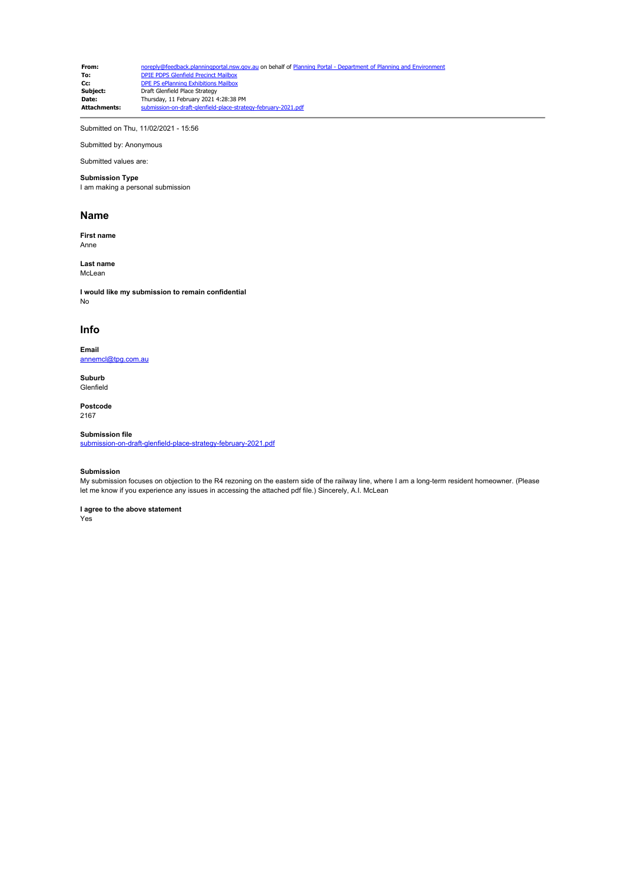**From:** [noreply@feedback.planningportal.nsw.gov.au](mailto:noreply@feedback.planningportal.nsw.gov.au) on behalf of Planning Portal - Department of Planning and Envir<br> **To:** DPTE PDPS Glenfield Precinct Mailbox **To:** [DPIE PDPS Glenfield Precinct Mailbox](mailto:glenfield.precinct@planning.nsw.gov.au)<br>**Cc:** [DPE PS ePlanning Exhibitions Mailbox](mailto:eplanning.exhibitions@planning.nsw.gov.au) **Subject:** Draft Glenfield Place Strategy<br> **Date:** Thursday 11 February 2021 4 **Date:** Thursday, 11 February 2021 4:28:38 PM<br>**Attachments:** submission-on-draft-glenfield-place-strate submission-on-draft-glenfield-place-strategy-february-2021.pdf

Submitted on Thu, 11/02/2021 - 15:56

Submitted by: Anonymous

### Submitted values are: **Submission Type**

I am making a personal submission

### **Name**

**First name** Anne

**Last name** McLean

**I would like my submission to remain confidential** No

### **Info**

**Email** [annemcl@tpg.com.au](mailto:annemcl@tpg.com.au)

**Suburb** Glenfield

**Postcode** 2167

#### **Submission file**

[submission-on-draft-glenfield-place-strategy-february-2021.pdf](https://pp.planningportal.nsw.gov.au/system/files/webform/draft_plans_glenfield/118631/submission-on-draft-glenfield-place-strategy-february-2021.pdf)

#### **Submission**

My submission focuses on objection to the R4 rezoning on the eastern side of the railway line, where I am a long-term resident homeowner. (Please let me know if you experience any issues in accessing the attached pdf file.) Sincerely, A.I. McLean

### **I agree to the above statement**

Yes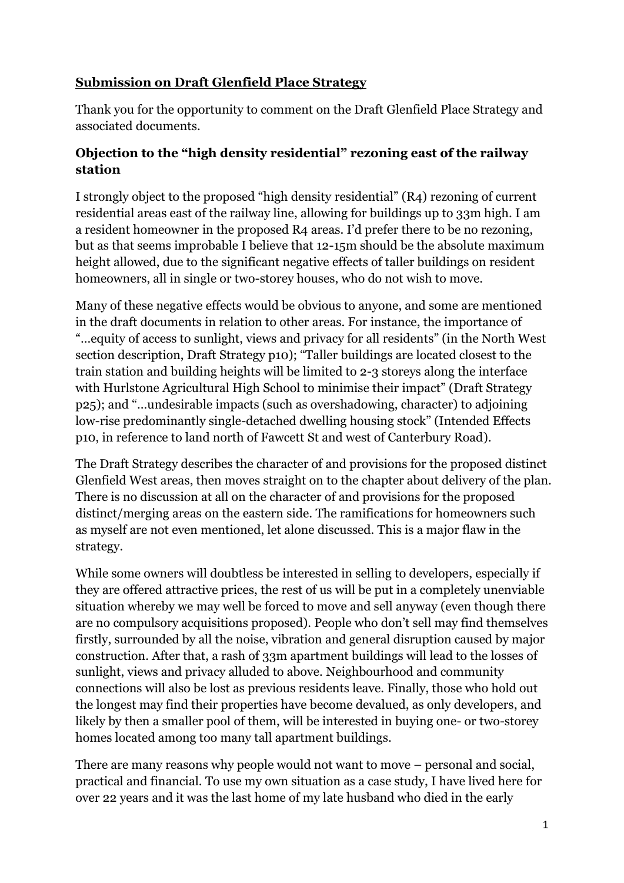## **Submission on Draft Glenfield Place Strategy**

Thank you for the opportunity to comment on the Draft Glenfield Place Strategy and associated documents.

## **Objection to the "high density residential" rezoning east of the railway station**

I strongly object to the proposed "high density residential" (R4) rezoning of current residential areas east of the railway line, allowing for buildings up to 33m high. I am a resident homeowner in the proposed R4 areas. I'd prefer there to be no rezoning, but as that seems improbable I believe that 12-15m should be the absolute maximum height allowed, due to the significant negative effects of taller buildings on resident homeowners, all in single or two-storey houses, who do not wish to move.

Many of these negative effects would be obvious to anyone, and some are mentioned in the draft documents in relation to other areas. For instance, the importance of "…equity of access to sunlight, views and privacy for all residents" (in the North West section description, Draft Strategy p10); "Taller buildings are located closest to the train station and building heights will be limited to 2-3 storeys along the interface with Hurlstone Agricultural High School to minimise their impact" (Draft Strategy p25); and "…undesirable impacts (such as overshadowing, character) to adjoining low-rise predominantly single-detached dwelling housing stock" (Intended Effects p10, in reference to land north of Fawcett St and west of Canterbury Road).

The Draft Strategy describes the character of and provisions for the proposed distinct Glenfield West areas, then moves straight on to the chapter about delivery of the plan. There is no discussion at all on the character of and provisions for the proposed distinct/merging areas on the eastern side. The ramifications for homeowners such as myself are not even mentioned, let alone discussed. This is a major flaw in the strategy.

While some owners will doubtless be interested in selling to developers, especially if they are offered attractive prices, the rest of us will be put in a completely unenviable situation whereby we may well be forced to move and sell anyway (even though there are no compulsory acquisitions proposed). People who don't sell may find themselves firstly, surrounded by all the noise, vibration and general disruption caused by major construction. After that, a rash of 33m apartment buildings will lead to the losses of sunlight, views and privacy alluded to above. Neighbourhood and community connections will also be lost as previous residents leave. Finally, those who hold out the longest may find their properties have become devalued, as only developers, and likely by then a smaller pool of them, will be interested in buying one- or two-storey homes located among too many tall apartment buildings.

There are many reasons why people would not want to move – personal and social, practical and financial. To use my own situation as a case study, I have lived here for over 22 years and it was the last home of my late husband who died in the early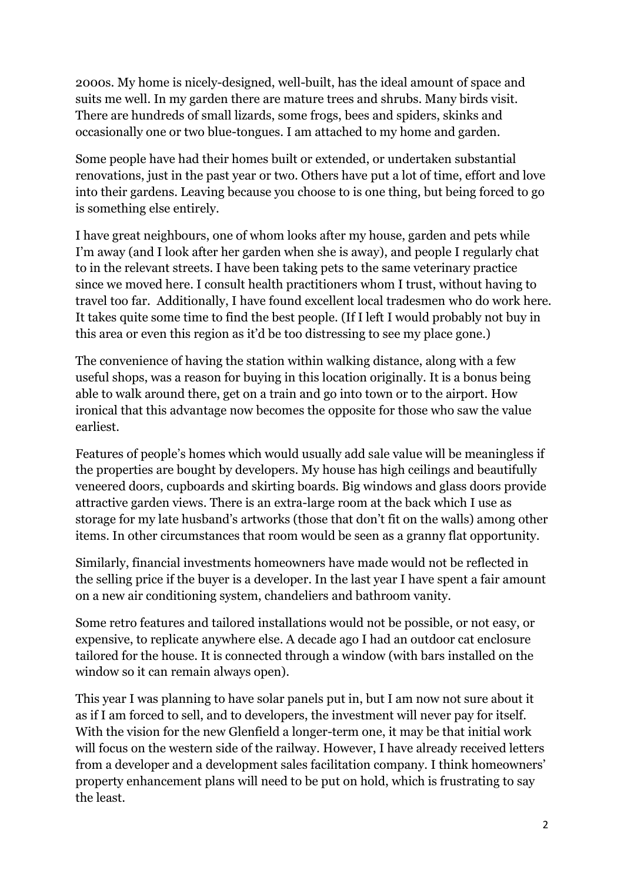2000s. My home is nicely-designed, well-built, has the ideal amount of space and suits me well. In my garden there are mature trees and shrubs. Many birds visit. There are hundreds of small lizards, some frogs, bees and spiders, skinks and occasionally one or two blue-tongues. I am attached to my home and garden.

Some people have had their homes built or extended, or undertaken substantial renovations, just in the past year or two. Others have put a lot of time, effort and love into their gardens. Leaving because you choose to is one thing, but being forced to go is something else entirely.

I have great neighbours, one of whom looks after my house, garden and pets while I'm away (and I look after her garden when she is away), and people I regularly chat to in the relevant streets. I have been taking pets to the same veterinary practice since we moved here. I consult health practitioners whom I trust, without having to travel too far. Additionally, I have found excellent local tradesmen who do work here. It takes quite some time to find the best people. (If I left I would probably not buy in this area or even this region as it'd be too distressing to see my place gone.)

The convenience of having the station within walking distance, along with a few useful shops, was a reason for buying in this location originally. It is a bonus being able to walk around there, get on a train and go into town or to the airport. How ironical that this advantage now becomes the opposite for those who saw the value earliest.

Features of people's homes which would usually add sale value will be meaningless if the properties are bought by developers. My house has high ceilings and beautifully veneered doors, cupboards and skirting boards. Big windows and glass doors provide attractive garden views. There is an extra-large room at the back which I use as storage for my late husband's artworks (those that don't fit on the walls) among other items. In other circumstances that room would be seen as a granny flat opportunity.

Similarly, financial investments homeowners have made would not be reflected in the selling price if the buyer is a developer. In the last year I have spent a fair amount on a new air conditioning system, chandeliers and bathroom vanity.

Some retro features and tailored installations would not be possible, or not easy, or expensive, to replicate anywhere else. A decade ago I had an outdoor cat enclosure tailored for the house. It is connected through a window (with bars installed on the window so it can remain always open).

This year I was planning to have solar panels put in, but I am now not sure about it as if I am forced to sell, and to developers, the investment will never pay for itself. With the vision for the new Glenfield a longer-term one, it may be that initial work will focus on the western side of the railway. However, I have already received letters from a developer and a development sales facilitation company. I think homeowners' property enhancement plans will need to be put on hold, which is frustrating to say the least.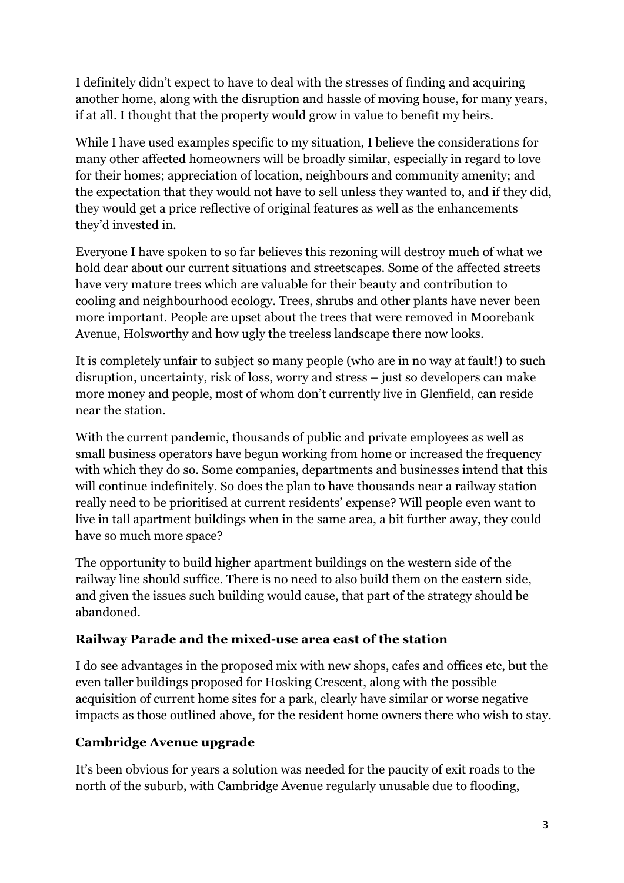I definitely didn't expect to have to deal with the stresses of finding and acquiring another home, along with the disruption and hassle of moving house, for many years, if at all. I thought that the property would grow in value to benefit my heirs.

While I have used examples specific to my situation, I believe the considerations for many other affected homeowners will be broadly similar, especially in regard to love for their homes; appreciation of location, neighbours and community amenity; and the expectation that they would not have to sell unless they wanted to, and if they did, they would get a price reflective of original features as well as the enhancements they'd invested in.

Everyone I have spoken to so far believes this rezoning will destroy much of what we hold dear about our current situations and streetscapes. Some of the affected streets have very mature trees which are valuable for their beauty and contribution to cooling and neighbourhood ecology. Trees, shrubs and other plants have never been more important. People are upset about the trees that were removed in Moorebank Avenue, Holsworthy and how ugly the treeless landscape there now looks.

It is completely unfair to subject so many people (who are in no way at fault!) to such disruption, uncertainty, risk of loss, worry and stress – just so developers can make more money and people, most of whom don't currently live in Glenfield, can reside near the station.

With the current pandemic, thousands of public and private employees as well as small business operators have begun working from home or increased the frequency with which they do so. Some companies, departments and businesses intend that this will continue indefinitely. So does the plan to have thousands near a railway station really need to be prioritised at current residents' expense? Will people even want to live in tall apartment buildings when in the same area, a bit further away, they could have so much more space?

The opportunity to build higher apartment buildings on the western side of the railway line should suffice. There is no need to also build them on the eastern side, and given the issues such building would cause, that part of the strategy should be abandoned.

## **Railway Parade and the mixed-use area east of the station**

I do see advantages in the proposed mix with new shops, cafes and offices etc, but the even taller buildings proposed for Hosking Crescent, along with the possible acquisition of current home sites for a park, clearly have similar or worse negative impacts as those outlined above, for the resident home owners there who wish to stay.

# **Cambridge Avenue upgrade**

It's been obvious for years a solution was needed for the paucity of exit roads to the north of the suburb, with Cambridge Avenue regularly unusable due to flooding,